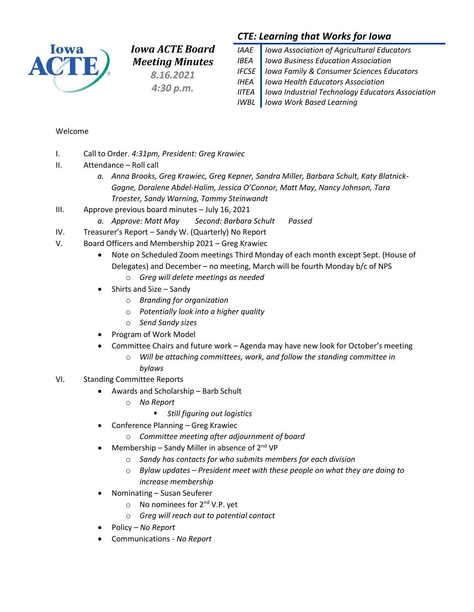

*Iowa ACTE Board Meeting Minutes*

*8.16.2021 4:30 p.m.*

## *CTE: Learning that Works for Iowa*

*IAAE Iowa Association of Agricultural Educators IBEA Iowa Business Education Association IFCSE Iowa Family & Consumer Sciences Educators IHEA Iowa Health Educators Association IITEA Iowa Industrial Technology Educators Association IWBL Iowa Work Based Learning*

### Welcome

- I. Call to Order. *4:31pm, President: Greg Krawiec*
- II. Attendance Roll call
	- *a. Anna Brooks, Greg Krawiec, Greg Kepner, Sandra Miller, Barbara Schult, Katy Blatnick-Gagne, Doralene Abdel-Halim, Jessica O'Connor, Matt May, Nancy Johnson, Tara Troester, Sandy Warning, Tammy Steinwandt*
- III. Approve previous board minutes July 16, 2021
	- *a. Approve: Matt May Second: Barbara Schult Passed*
- IV. Treasurer's Report Sandy W. (Quarterly) No Report
- V. Board Officers and Membership 2021 Greg Krawiec
	- Note on Scheduled Zoom meetings Third Monday of each month except Sept. (House of Delegates) and December – no meeting, March will be fourth Monday b/c of NPS
		- o *Greg will delete meetings as needed*
	- Shirts and Size Sandy
		- o *Branding for organization*
		- o *Potentially look into a higher quality*
		- o *Send Sandy sizes*
	- Program of Work Model
	- Committee Chairs and future work Agenda may have new look for October's meeting
		- o *Will be attaching committees, work, and follow the standing committee in bylaws*
- VI. Standing Committee Reports
	- Awards and Scholarship Barb Schult
		- o *No Report*
			- *Still figuring out logistics*
	- Conference Planning Greg Krawiec
		- o *Committee meeting after adjournment of board*
	- Membership Sandy Miller in absence of  $2<sup>nd</sup>$  VP
		- o *Sandy has contacts for who submits members for each division*
		- o *Bylaw updates – President meet with these people on what they are doing to increase membership*
	- Nominating Susan Seuferer
		- $\circ$  No nominees for 2<sup>nd</sup> V.P. yet
		- o *Greg will reach out to potential contact*
	- Policy *No Report*
	- Communications *No Report*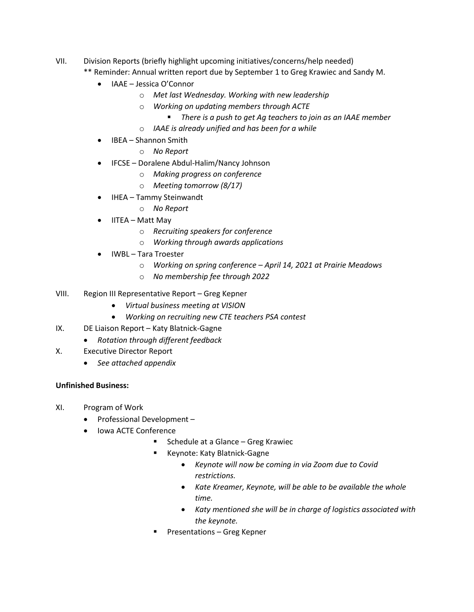- VII. Division Reports (briefly highlight upcoming initiatives/concerns/help needed)
	- \*\* Reminder: Annual written report due by September 1 to Greg Krawiec and Sandy M.
		- IAAE Jessica O'Connor
			- o *Met last Wednesday. Working with new leadership*
			- o *Working on updating members through ACTE*
				- *There is a push to get Ag teachers to join as an IAAE member*
			- o *IAAE is already unified and has been for a while*
		- IBEA Shannon Smith
			- o *No Report*
		- IFCSE Doralene Abdul-Halim/Nancy Johnson
			- o *Making progress on conference*
			- o *Meeting tomorrow (8/17)*
		- IHEA Tammy Steinwandt
			- o *No Report*
		- IITEA Matt May
			- o *Recruiting speakers for conference*
			- o *Working through awards applications*
		- IWBL Tara Troester
			- o *Working on spring conference – April 14, 2021 at Prairie Meadows*
			- o *No membership fee through 2022*
- VIII. Region III Representative Report Greg Kepner
	- *Virtual business meeting at VISION*
	- *Working on recruiting new CTE teachers PSA contest*
- IX. DE Liaison Report Katy Blatnick-Gagne
	- *Rotation through different feedback*
- X. Executive Director Report
	- *See attached appendix*

### **Unfinished Business:**

- XI. Program of Work
	- Professional Development –
	- Iowa ACTE Conference
		- Schedule at a Glance Greg Krawiec
		- Keynote: Katy Blatnick-Gagne
			- *Keynote will now be coming in via Zoom due to Covid restrictions.*
			- *Kate Kreamer, Keynote, will be able to be available the whole time.*
			- *Katy mentioned she will be in charge of logistics associated with the keynote.*
		- Presentations Greg Kepner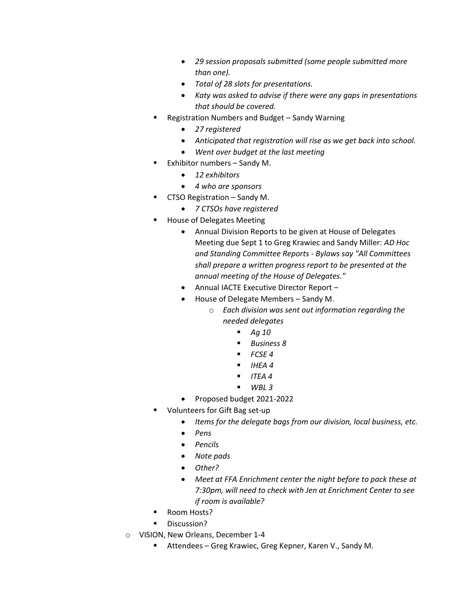- *29 session proposals submitted (some people submitted more than one).*
- *Total of 28 slots for presentations.*
- *Katy was asked to advise if there were any gaps in presentations that should be covered.*
- Registration Numbers and Budget Sandy Warning
	- *27 registered*
	- *Anticipated that registration will rise as we get back into school.*
	- *Went over budget at the last meeting*
	- Exhibitor numbers Sandy M.
		- *12 exhibitors*
		- *4 who are sponsors*
- CTSO Registration Sandy M.
	- *7 CTSOs have registered*
- House of Delegates Meeting
	- Annual Division Reports to be given at House of Delegates Meeting due Sept 1 to Greg Krawiec and Sandy Miller: *AD Hoc and Standing Committee Reports - Bylaws say "All Committees shall prepare a written progress report to be presented at the annual meeting of the House of Delegates."*
	- Annual IACTE Executive Director Report –
	- House of Delegate Members Sandy M.
		- o *Each division was sent out information regarding the needed delegates*
			- *Ag 10*
			- *Business 8*
			- *FCSE 4*
			- *IHEA 4*
			- $ITFA 4$
			- *WBL 3*
	- Proposed budget 2021-2022
- Volunteers for Gift Bag set-up
	- *Items for the delegate bags from our division, local business, etc.*
	- *Pens*
	- *Pencils*
	- *Note pads*
	- *Other?*
	- *Meet at FFA Enrichment center the night before to pack these at 7:30pm, will need to check with Jen at Enrichment Center to see if room is available?*
- Room Hosts?
- **■** Discussion?
- o VISION, New Orleans, December 1-4
	- Attendees Greg Krawiec, Greg Kepner, Karen V., Sandy M.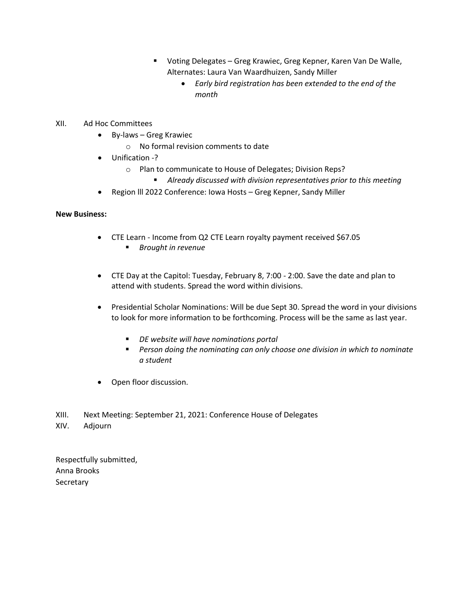- Voting Delegates Greg Krawiec, Greg Kepner, Karen Van De Walle, Alternates: Laura Van Waardhuizen, Sandy Miller
	- *Early bird registration has been extended to the end of the month*
- XII. Ad Hoc Committees
	- By-laws Greg Krawiec
		- o No formal revision comments to date
	- Unification -?
		- o Plan to communicate to House of Delegates; Division Reps?
			- Already discussed with division representatives prior to this meeting
	- Region lll 2022 Conference: Iowa Hosts Greg Kepner, Sandy Miller

#### **New Business:**

- CTE Learn Income from Q2 CTE Learn royalty payment received \$67.05
	- *Brought in revenue*
- CTE Day at the Capitol: Tuesday, February 8, 7:00 2:00. Save the date and plan to attend with students. Spread the word within divisions.
- Presidential Scholar Nominations: Will be due Sept 30. Spread the word in your divisions to look for more information to be forthcoming. Process will be the same as last year.
	- *DE website will have nominations portal*
	- Person doing the nominating can only choose one division in which to nominate *a student*
- Open floor discussion.
- XIII. Next Meeting: September 21, 2021: Conference House of Delegates
- XIV. Adjourn

Respectfully submitted, Anna Brooks **Secretary**